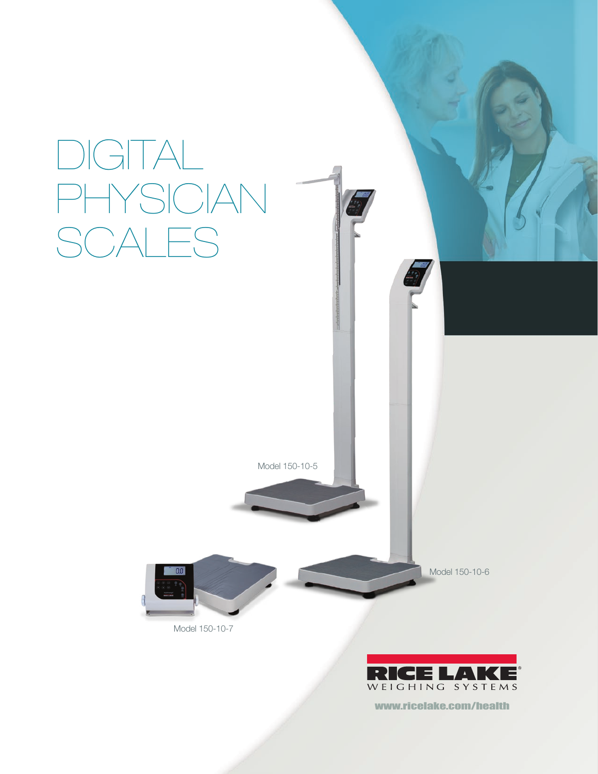

www.ricelake.com/health